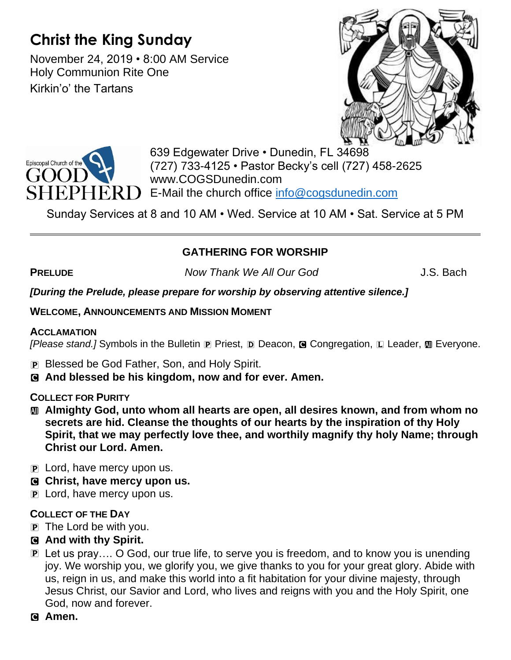# **Christ the King Sunday**

November 24, 2019 • 8:00 AM Service Holy Communion Rite One Kirkin'o' the Tartans





639 Edgewater Drive • Dunedin, FL 34698 (727) 733-4125 • Pastor Becky's cell (727) 458-2625 www.COGSDunedin.com  $SHEPHE$ **RID** E-Mail the church office [info@cogsdunedin.com](mailto:info@cogsdunedin.com)

Sunday Services at 8 and 10 AM • Wed. Service at 10 AM • Sat. Service at 5 PM

# **GATHERING FOR WORSHIP**

**PRELUDE** *Now Thank We All Our God* J.S. Bach

*[During the Prelude, please prepare for worship by observing attentive silence.]*

#### **WELCOME, ANNOUNCEMENTS AND MISSION MOMENT**

#### **ACCLAMATION**

*[Please stand.]* Symbols in the Bulletin **P** Priest, **D** Deacon, **G** Congregation, **L** Leader, **M** Everyone.

- P Blessed be God Father, Son, and Holy Spirit.
- C **And blessed be his kingdom, now and for ever. Amen.**

# **COLLECT FOR PURITY**

- a **Almighty God, unto whom all hearts are open, all desires known, and from whom no secrets are hid. Cleanse the thoughts of our hearts by the inspiration of thy Holy Spirit, that we may perfectly love thee, and worthily magnify thy holy Name; through Christ our Lord. Amen.**
- P Lord, have mercy upon us.
- C **Christ, have mercy upon us.**
- P Lord, have mercy upon us.

# **COLLECT OF THE DAY**

- $\overline{P}$  The Lord be with you.
- C **And with thy Spirit.**
- P Let us pray…. O God, our true life, to serve you is freedom, and to know you is unending joy. We worship you, we glorify you, we give thanks to you for your great glory. Abide with us, reign in us, and make this world into a fit habitation for your divine majesty, through Jesus Christ, our Savior and Lord, who lives and reigns with you and the Holy Spirit, one God, now and forever.

# C **Amen.**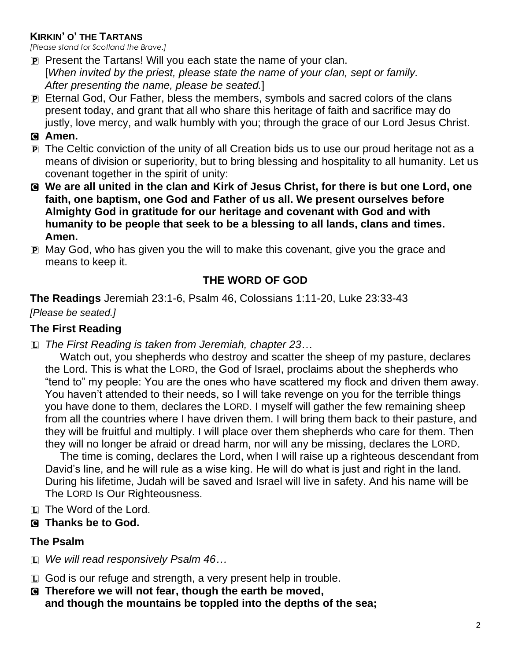# **KIRKIN' O' THE TARTANS**

*[Please stand for Scotland the Brave.]*

P Present the Tartans! Will you each state the name of your clan. [*When invited by the priest, please state the name of your clan, sept or family. After presenting the name, please be seated.*]

P Eternal God, Our Father, bless the members, symbols and sacred colors of the clans present today, and grant that all who share this heritage of faith and sacrifice may do justly, love mercy, and walk humbly with you; through the grace of our Lord Jesus Christ.

#### C **Amen.**

- P The Celtic conviction of the unity of all Creation bids us to use our proud heritage not as a means of division or superiority, but to bring blessing and hospitality to all humanity. Let us covenant together in the spirit of unity:
- C **We are all united in the clan and Kirk of Jesus Christ, for there is but one Lord, one faith, one baptism, one God and Father of us all. We present ourselves before Almighty God in gratitude for our heritage and covenant with God and with humanity to be people that seek to be a blessing to all lands, clans and times. Amen.**
- P May God, who has given you the will to make this covenant, give you the grace and means to keep it.

#### **THE WORD OF GOD**

**The Readings** Jeremiah 23:1-6, Psalm 46, Colossians 1:11-20, Luke 23:33-43

#### *[Please be seated.]*

#### **The First Reading**

L *The First Reading is taken from Jeremiah, chapter 23…*

Watch out, you shepherds who destroy and scatter the sheep of my pasture, declares the Lord. This is what the LORD, the God of Israel, proclaims about the shepherds who "tend to" my people: You are the ones who have scattered my flock and driven them away. You haven't attended to their needs, so I will take revenge on you for the terrible things you have done to them, declares the LORD. I myself will gather the few remaining sheep from all the countries where I have driven them. I will bring them back to their pasture, and they will be fruitful and multiply. I will place over them shepherds who care for them. Then they will no longer be afraid or dread harm, nor will any be missing, declares the LORD.

The time is coming, declares the Lord, when I will raise up a righteous descendant from David's line, and he will rule as a wise king. He will do what is just and right in the land. During his lifetime, Judah will be saved and Israel will live in safety. And his name will be The LORD Is Our Righteousness.

L The Word of the Lord.

#### C **Thanks be to God.**

#### **The Psalm**

- L *We will read responsively Psalm 46…*
- $\Box$  God is our refuge and strength, a very present help in trouble.
- C **Therefore we will not fear, though the earth be moved, and though the mountains be toppled into the depths of the sea;**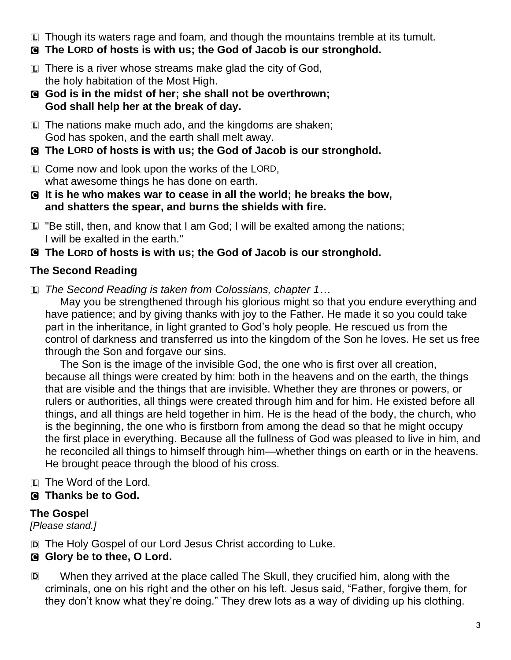- $\Box$  Though its waters rage and foam, and though the mountains tremble at its tumult.
- C **The LORD of hosts is with us; the God of Jacob is our stronghold.**
- $E$  There is a river whose streams make glad the city of God, the holy habitation of the Most High.
- C **God is in the midst of her; she shall not be overthrown; God shall help her at the break of day.**
- $E$  The nations make much ado, and the kingdoms are shaken; God has spoken, and the earth shall melt away.
- C **The LORD of hosts is with us; the God of Jacob is our stronghold.**
- L Come now and look upon the works of the LORD, what awesome things he has done on earth.
- C **It is he who makes war to cease in all the world; he breaks the bow, and shatters the spear, and burns the shields with fire.**
- L "Be still, then, and know that I am God; I will be exalted among the nations; I will be exalted in the earth."

C **The LORD of hosts is with us; the God of Jacob is our stronghold.** 

# **The Second Reading**

L *The Second Reading is taken from Colossians, chapter 1…*

May you be strengthened through his glorious might so that you endure everything and have patience; and by giving thanks with joy to the Father. He made it so you could take part in the inheritance, in light granted to God's holy people. He rescued us from the control of darkness and transferred us into the kingdom of the Son he loves. He set us free through the Son and forgave our sins.

The Son is the image of the invisible God, the one who is first over all creation, because all things were created by him: both in the heavens and on the earth, the things that are visible and the things that are invisible. Whether they are thrones or powers, or rulers or authorities, all things were created through him and for him. He existed before all things, and all things are held together in him. He is the head of the body, the church, who is the beginning, the one who is firstborn from among the dead so that he might occupy the first place in everything. Because all the fullness of God was pleased to live in him, and he reconciled all things to himself through him—whether things on earth or in the heavens. He brought peace through the blood of his cross.

# L The Word of the Lord.

# C **Thanks be to God.**

# **The Gospel**

*[Please stand.]*

- D The Holy Gospel of our Lord Jesus Christ according to Luke.
- C **Glory be to thee, O Lord.**
- D When they arrived at the place called The Skull, they crucified him, along with the criminals, one on his right and the other on his left. Jesus said, "Father, forgive them, for they don't know what they're doing." They drew lots as a way of dividing up his clothing.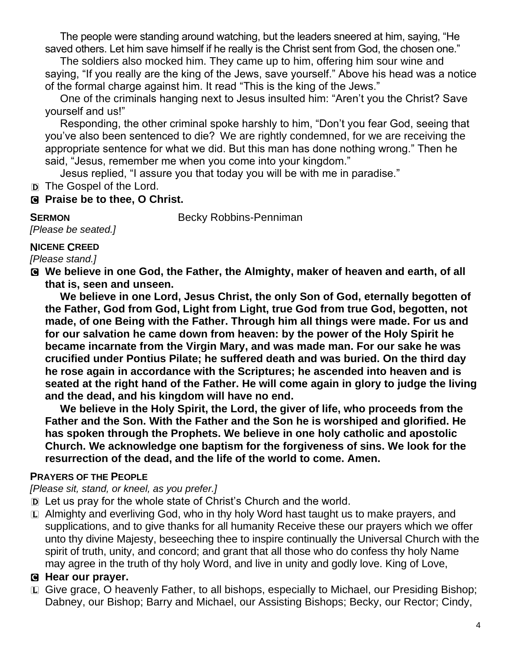The people were standing around watching, but the leaders sneered at him, saying, "He saved others. Let him save himself if he really is the Christ sent from God, the chosen one."

The soldiers also mocked him. They came up to him, offering him sour wine and saying, "If you really are the king of the Jews, save yourself." Above his head was a notice of the formal charge against him. It read "This is the king of the Jews."

One of the criminals hanging next to Jesus insulted him: "Aren't you the Christ? Save yourself and us!"

Responding, the other criminal spoke harshly to him, "Don't you fear God, seeing that you've also been sentenced to die? We are rightly condemned, for we are receiving the appropriate sentence for what we did. But this man has done nothing wrong." Then he said, "Jesus, remember me when you come into your kingdom."

Jesus replied, "I assure you that today you will be with me in paradise."

D The Gospel of the Lord.

#### C **Praise be to thee, O Christ.**

**SERMON** Becky Robbins-Penniman

*[Please be seated.]*

**NICENE CREED** 

*[Please stand.]*

C **We believe in one God, the Father, the Almighty, maker of heaven and earth, of all that is, seen and unseen.** 

**We believe in one Lord, Jesus Christ, the only Son of God, eternally begotten of the Father, God from God, Light from Light, true God from true God, begotten, not made, of one Being with the Father. Through him all things were made. For us and for our salvation he came down from heaven: by the power of the Holy Spirit he became incarnate from the Virgin Mary, and was made man. For our sake he was crucified under Pontius Pilate; he suffered death and was buried. On the third day he rose again in accordance with the Scriptures; he ascended into heaven and is seated at the right hand of the Father. He will come again in glory to judge the living and the dead, and his kingdom will have no end.**

**We believe in the Holy Spirit, the Lord, the giver of life, who proceeds from the Father and the Son. With the Father and the Son he is worshiped and glorified. He has spoken through the Prophets. We believe in one holy catholic and apostolic Church. We acknowledge one baptism for the forgiveness of sins. We look for the resurrection of the dead, and the life of the world to come. Amen.**

#### **PRAYERS OF THE PEOPLE**

*[Please sit, stand, or kneel, as you prefer.]*

- D Let us pray for the whole state of Christ's Church and the world.
- L Almighty and everliving God, who in thy holy Word hast taught us to make prayers, and supplications, and to give thanks for all humanity Receive these our prayers which we offer unto thy divine Majesty, beseeching thee to inspire continually the Universal Church with the spirit of truth, unity, and concord; and grant that all those who do confess thy holy Name may agree in the truth of thy holy Word, and live in unity and godly love. King of Love,

#### C **Hear our prayer.**

 $\Box$  Give grace, O heavenly Father, to all bishops, especially to Michael, our Presiding Bishop; Dabney, our Bishop; Barry and Michael, our Assisting Bishops; Becky, our Rector; Cindy,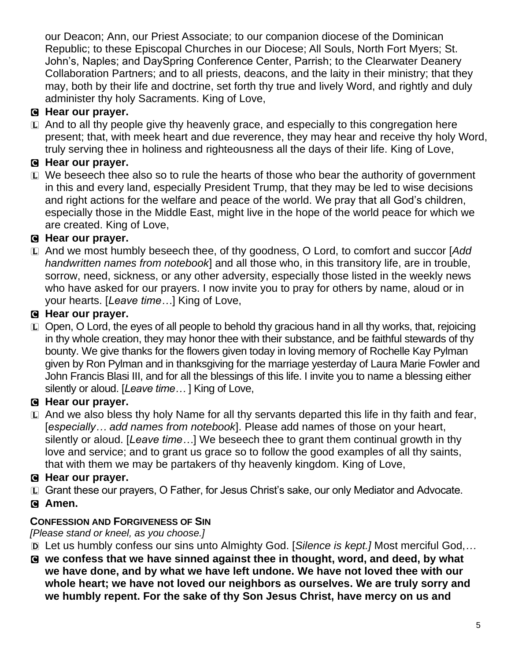our Deacon; Ann, our Priest Associate; to our companion diocese of the Dominican Republic; to these Episcopal Churches in our Diocese; All Souls, North Fort Myers; St. John's, Naples; and DaySpring Conference Center, Parrish; to the Clearwater Deanery Collaboration Partners; and to all priests, deacons, and the laity in their ministry; that they may, both by their life and doctrine, set forth thy true and lively Word, and rightly and duly administer thy holy Sacraments. King of Love,

# C **Hear our prayer.**

 $\Box$  And to all thy people give thy heavenly grace, and especially to this congregation here present; that, with meek heart and due reverence, they may hear and receive thy holy Word, truly serving thee in holiness and righteousness all the days of their life. King of Love,

# C **Hear our prayer.**

L We beseech thee also so to rule the hearts of those who bear the authority of government in this and every land, especially President Trump, that they may be led to wise decisions and right actions for the welfare and peace of the world. We pray that all God's children, especially those in the Middle East, might live in the hope of the world peace for which we are created. King of Love,

# C **Hear our prayer.**

L And we most humbly beseech thee, of thy goodness, O Lord, to comfort and succor [*Add handwritten names from notebook*] and all those who, in this transitory life, are in trouble, sorrow, need, sickness, or any other adversity, especially those listed in the weekly news who have asked for our prayers. I now invite you to pray for others by name, aloud or in your hearts. [*Leave time…*] King of Love,

# C **Hear our prayer.**

 $\Box$  Open, O Lord, the eyes of all people to behold thy gracious hand in all thy works, that, rejoicing in thy whole creation, they may honor thee with their substance, and be faithful stewards of thy bounty. We give thanks for the flowers given today in loving memory of Rochelle Kay Pylman given by Ron Pylman and in thanksgiving for the marriage yesterday of Laura Marie Fowler and John Francis Blasi III, and for all the blessings of this life. I invite you to name a blessing either silently or aloud. [*Leave time…* ] King of Love,

# C **Hear our prayer.**

 $\Box$  And we also bless thy holy Name for all thy servants departed this life in thy faith and fear, [*especially… add names from notebook*]. Please add names of those on your heart, silently or aloud. [*Leave time…*] We beseech thee to grant them continual growth in thy love and service; and to grant us grace so to follow the good examples of all thy saints, that with them we may be partakers of thy heavenly kingdom. King of Love,

# C **Hear our prayer.**

- L Grant these our prayers, O Father, for Jesus Christ's sake, our only Mediator and Advocate.
- C **Amen.**

# **CONFESSION AND FORGIVENESS OF SIN**

*[Please stand or kneel, as you choose.]*

- D Let us humbly confess our sins unto Almighty God. [*Silence is kept.]* Most merciful God,*…*
- C **we confess that we have sinned against thee in thought, word, and deed, by what we have done, and by what we have left undone. We have not loved thee with our whole heart; we have not loved our neighbors as ourselves. We are truly sorry and we humbly repent. For the sake of thy Son Jesus Christ, have mercy on us and**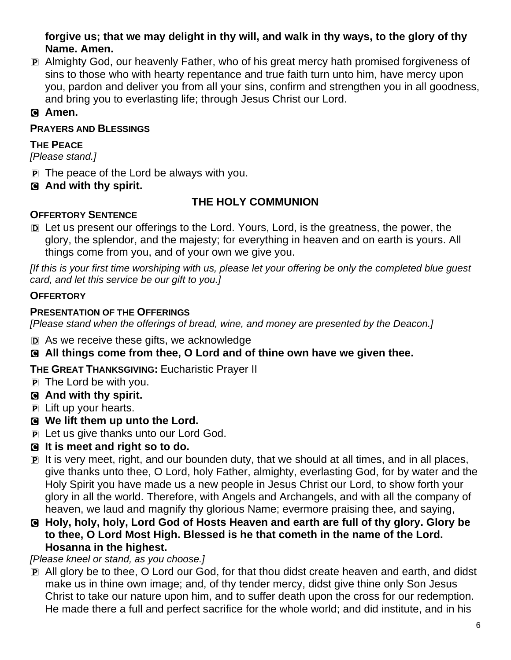#### **forgive us; that we may delight in thy will, and walk in thy ways, to the glory of thy Name. Amen.**

- P Almighty God, our heavenly Father, who of his great mercy hath promised forgiveness of sins to those who with hearty repentance and true faith turn unto him, have mercy upon you, pardon and deliver you from all your sins, confirm and strengthen you in all goodness, and bring you to everlasting life; through Jesus Christ our Lord.
- C **Amen.**

#### **PRAYERS AND BLESSINGS**

#### **THE PEACE**

*[Please stand.]*

- P The peace of the Lord be always with you.
- C **And with thy spirit.**

# **THE HOLY COMMUNION**

# **OFFERTORY SENTENCE**

D Let us present our offerings to the Lord. Yours, Lord, is the greatness, the power, the glory, the splendor, and the majesty; for everything in heaven and on earth is yours. All things come from you, and of your own we give you.

*[If this is your first time worshiping with us, please let your offering be only the completed blue guest card, and let this service be our gift to you.]*

#### **OFFERTORY**

#### **PRESENTATION OF THE OFFERINGS**

*[Please stand when the offerings of bread, wine, and money are presented by the Deacon.]*

- D As we receive these gifts, we acknowledge
- C **All things come from thee, O Lord and of thine own have we given thee.**

# **THE GREAT THANKSGIVING:** Eucharistic Prayer II

- $\mathbf{p}$  The Lord be with you.
- C **And with thy spirit.**
- P Lift up your hearts.
- C **We lift them up unto the Lord.**
- P Let us give thanks unto our Lord God.
- C **It is meet and right so to do.**
- **P** It is very meet, right, and our bounden duty, that we should at all times, and in all places. give thanks unto thee, O Lord, holy Father, almighty, everlasting God, for by water and the Holy Spirit you have made us a new people in Jesus Christ our Lord, to show forth your glory in all the world. Therefore, with Angels and Archangels, and with all the company of heaven, we laud and magnify thy glorious Name; evermore praising thee, and saying,
- C **Holy, holy, holy, Lord God of Hosts Heaven and earth are full of thy glory. Glory be to thee, O Lord Most High. Blessed is he that cometh in the name of the Lord. Hosanna in the highest.**

*[Please kneel or stand, as you choose.]*

P All glory be to thee, O Lord our God, for that thou didst create heaven and earth, and didst make us in thine own image; and, of thy tender mercy, didst give thine only Son Jesus Christ to take our nature upon him, and to suffer death upon the cross for our redemption. He made there a full and perfect sacrifice for the whole world; and did institute, and in his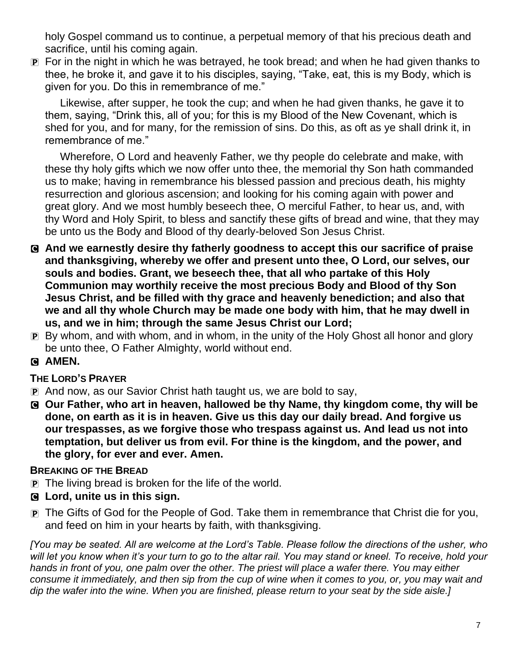holy Gospel command us to continue, a perpetual memory of that his precious death and sacrifice, until his coming again.

P For in the night in which he was betrayed, he took bread; and when he had given thanks to thee, he broke it, and gave it to his disciples, saying, "Take, eat, this is my Body, which is given for you. Do this in remembrance of me."

Likewise, after supper, he took the cup; and when he had given thanks, he gave it to them, saying, "Drink this, all of you; for this is my Blood of the New Covenant, which is shed for you, and for many, for the remission of sins. Do this, as oft as ye shall drink it, in remembrance of me."

Wherefore, O Lord and heavenly Father, we thy people do celebrate and make, with these thy holy gifts which we now offer unto thee, the memorial thy Son hath commanded us to make; having in remembrance his blessed passion and precious death, his mighty resurrection and glorious ascension; and looking for his coming again with power and great glory. And we most humbly beseech thee, O merciful Father, to hear us, and, with thy Word and Holy Spirit, to bless and sanctify these gifts of bread and wine, that they may be unto us the Body and Blood of thy dearly-beloved Son Jesus Christ.

- C **And we earnestly desire thy fatherly goodness to accept this our sacrifice of praise and thanksgiving, whereby we offer and present unto thee, O Lord, our selves, our souls and bodies. Grant, we beseech thee, that all who partake of this Holy Communion may worthily receive the most precious Body and Blood of thy Son Jesus Christ, and be filled with thy grace and heavenly benediction; and also that we and all thy whole Church may be made one body with him, that he may dwell in us, and we in him; through the same Jesus Christ our Lord;**
- P By whom, and with whom, and in whom, in the unity of the Holy Ghost all honor and glory be unto thee, O Father Almighty, world without end.

# C **AMEN.**

# **THE LORD'S PRAYER**

- P And now, as our Savior Christ hath taught us, we are bold to say,
- C **Our Father, who art in heaven, hallowed be thy Name, thy kingdom come, thy will be done, on earth as it is in heaven. Give us this day our daily bread. And forgive us our trespasses, as we forgive those who trespass against us. And lead us not into temptation, but deliver us from evil. For thine is the kingdom, and the power, and the glory, for ever and ever. Amen.**

# **BREAKING OF THE BREAD**

- **P** The living bread is broken for the life of the world.
- C **Lord, unite us in this sign.**
- P The Gifts of God for the People of God. Take them in remembrance that Christ die for you, and feed on him in your hearts by faith, with thanksgiving.

*[You may be seated. All are welcome at the Lord's Table. Please follow the directions of the usher, who*  will let you know when it's your turn to go to the altar rail. You may stand or kneel. To receive, hold your *hands in front of you, one palm over the other. The priest will place a wafer there. You may either consume it immediately, and then sip from the cup of wine when it comes to you, or, you may wait and dip the wafer into the wine. When you are finished, please return to your seat by the side aisle.]*